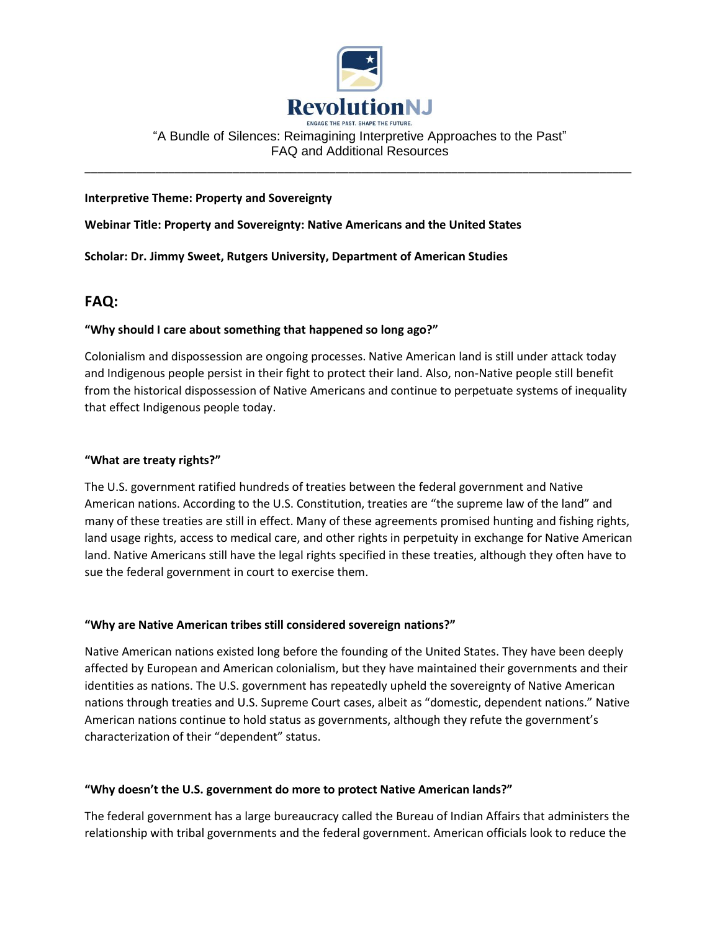

# "A Bundle of Silences: Reimagining Interpretive Approaches to the Past" FAQ and Additional Resources

\_\_\_\_\_\_\_\_\_\_\_\_\_\_\_\_\_\_\_\_\_\_\_\_\_\_\_\_\_\_\_\_\_\_\_\_\_\_\_\_\_\_\_\_\_\_\_\_\_\_\_\_\_\_\_\_\_\_\_\_\_\_\_\_\_\_\_\_\_\_\_\_\_\_\_\_\_\_\_\_\_\_\_\_\_

# **Interpretive Theme: Property and Sovereignty**

**Webinar Title: Property and Sovereignty: Native Americans and the United States**

**Scholar: Dr. Jimmy Sweet, Rutgers University, Department of American Studies**

# **FAQ:**

# **"Why should I care about something that happened so long ago?"**

Colonialism and dispossession are ongoing processes. Native American land is still under attack today and Indigenous people persist in their fight to protect their land. Also, non-Native people still benefit from the historical dispossession of Native Americans and continue to perpetuate systems of inequality that effect Indigenous people today.

# **"What are treaty rights?"**

The U.S. government ratified hundreds of treaties between the federal government and Native American nations. According to the U.S. Constitution, treaties are "the supreme law of the land" and many of these treaties are still in effect. Many of these agreements promised hunting and fishing rights, land usage rights, access to medical care, and other rights in perpetuity in exchange for Native American land. Native Americans still have the legal rights specified in these treaties, although they often have to sue the federal government in court to exercise them.

# **"Why are Native American tribes still considered sovereign nations?"**

Native American nations existed long before the founding of the United States. They have been deeply affected by European and American colonialism, but they have maintained their governments and their identities as nations. The U.S. government has repeatedly upheld the sovereignty of Native American nations through treaties and U.S. Supreme Court cases, albeit as "domestic, dependent nations." Native American nations continue to hold status as governments, although they refute the government's characterization of their "dependent" status.

# **"Why doesn't the U.S. government do more to protect Native American lands?"**

The federal government has a large bureaucracy called the Bureau of Indian Affairs that administers the relationship with tribal governments and the federal government. American officials look to reduce the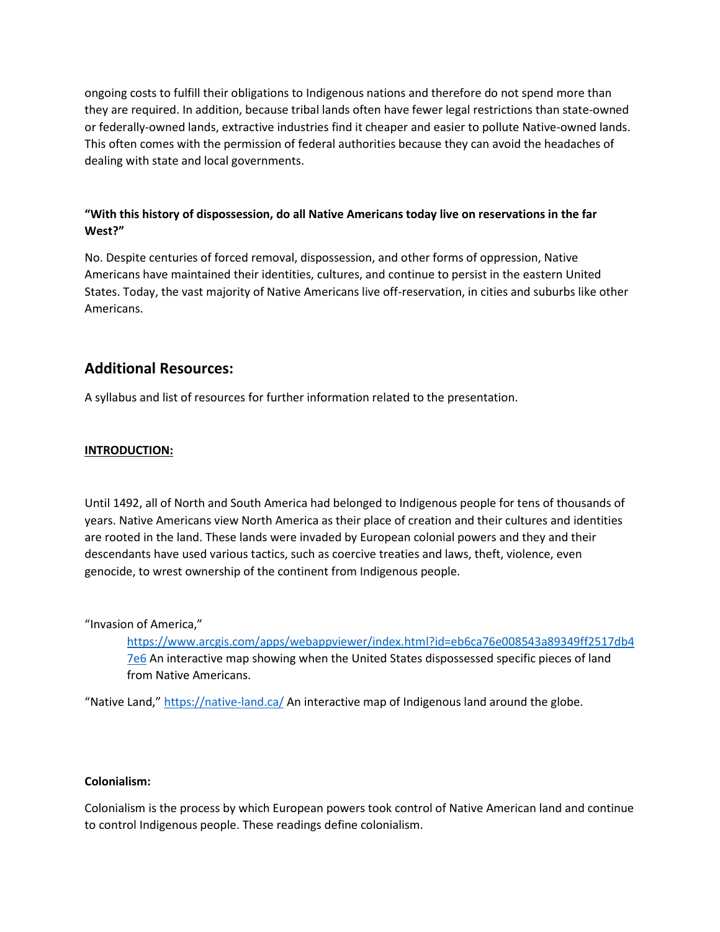ongoing costs to fulfill their obligations to Indigenous nations and therefore do not spend more than they are required. In addition, because tribal lands often have fewer legal restrictions than state-owned or federally-owned lands, extractive industries find it cheaper and easier to pollute Native-owned lands. This often comes with the permission of federal authorities because they can avoid the headaches of dealing with state and local governments.

# **"With this history of dispossession, do all Native Americans today live on reservations in the far West?"**

No. Despite centuries of forced removal, dispossession, and other forms of oppression, Native Americans have maintained their identities, cultures, and continue to persist in the eastern United States. Today, the vast majority of Native Americans live off-reservation, in cities and suburbs like other Americans.

# **Additional Resources:**

A syllabus and list of resources for further information related to the presentation.

# **INTRODUCTION:**

Until 1492, all of North and South America had belonged to Indigenous people for tens of thousands of years. Native Americans view North America as their place of creation and their cultures and identities are rooted in the land. These lands were invaded by European colonial powers and they and their descendants have used various tactics, such as coercive treaties and laws, theft, violence, even genocide, to wrest ownership of the continent from Indigenous people.

"Invasion of America,"

[https://www.arcgis.com/apps/webappviewer/index.html?id=eb6ca76e008543a89349ff2517db4](https://www.arcgis.com/apps/webappviewer/index.html?id=eb6ca76e008543a89349ff2517db47e6) [7e6](https://www.arcgis.com/apps/webappviewer/index.html?id=eb6ca76e008543a89349ff2517db47e6) An interactive map showing when the United States dispossessed specific pieces of land from Native Americans.

"Native Land," <https://native-land.ca/> An interactive map of Indigenous land around the globe.

# **Colonialism:**

Colonialism is the process by which European powers took control of Native American land and continue to control Indigenous people. These readings define colonialism.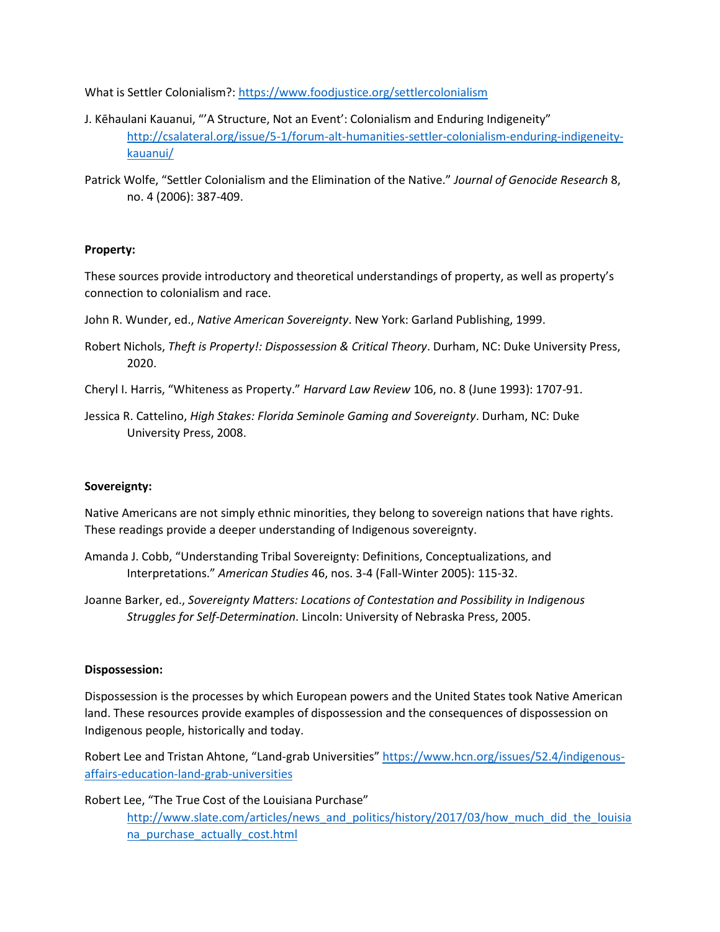What is Settler Colonialism?:<https://www.foodjustice.org/settlercolonialism>

- J. Kēhaulani Kauanui, "'A Structure, Not an Event': Colonialism and Enduring Indigeneity" [http://csalateral.org/issue/5-1/forum-alt-humanities-settler-colonialism-enduring-indigeneity](http://csalateral.org/issue/5-1/forum-alt-humanities-settler-colonialism-enduring-indigeneity-kauanui/)[kauanui/](http://csalateral.org/issue/5-1/forum-alt-humanities-settler-colonialism-enduring-indigeneity-kauanui/)
- Patrick Wolfe, "Settler Colonialism and the Elimination of the Native." *Journal of Genocide Research* 8, no. 4 (2006): 387-409.

# **Property:**

These sources provide introductory and theoretical understandings of property, as well as property's connection to colonialism and race.

- John R. Wunder, ed., *Native American Sovereignty*. New York: Garland Publishing, 1999.
- Robert Nichols, *Theft is Property!: Dispossession & Critical Theory*. Durham, NC: Duke University Press, 2020.
- Cheryl I. Harris, "Whiteness as Property." *Harvard Law Review* 106, no. 8 (June 1993): 1707-91.
- Jessica R. Cattelino, *High Stakes: Florida Seminole Gaming and Sovereignty*. Durham, NC: Duke University Press, 2008.

#### **Sovereignty:**

Native Americans are not simply ethnic minorities, they belong to sovereign nations that have rights. These readings provide a deeper understanding of Indigenous sovereignty.

- Amanda J. Cobb, "Understanding Tribal Sovereignty: Definitions, Conceptualizations, and Interpretations." *American Studies* 46, nos. 3-4 (Fall-Winter 2005): 115-32.
- Joanne Barker, ed., *Sovereignty Matters: Locations of Contestation and Possibility in Indigenous Struggles for Self-Determination*. Lincoln: University of Nebraska Press, 2005.

#### **Dispossession:**

Dispossession is the processes by which European powers and the United States took Native American land. These resources provide examples of dispossession and the consequences of dispossession on Indigenous people, historically and today.

Robert Lee and Tristan Ahtone, "Land-grab Universities" [https://www.hcn.org/issues/52.4/indigenous](https://www.hcn.org/issues/52.4/indigenous-affairs-education-land-grab-universities)[affairs-education-land-grab-universities](https://www.hcn.org/issues/52.4/indigenous-affairs-education-land-grab-universities)

Robert Lee, "The True Cost of the Louisiana Purchase" [http://www.slate.com/articles/news\\_and\\_politics/history/2017/03/how\\_much\\_did\\_the\\_louisia](http://www.slate.com/articles/news_and_politics/history/2017/03/how_much_did_the_louisiana_purchase_actually_cost.html) [na\\_purchase\\_actually\\_cost.html](http://www.slate.com/articles/news_and_politics/history/2017/03/how_much_did_the_louisiana_purchase_actually_cost.html)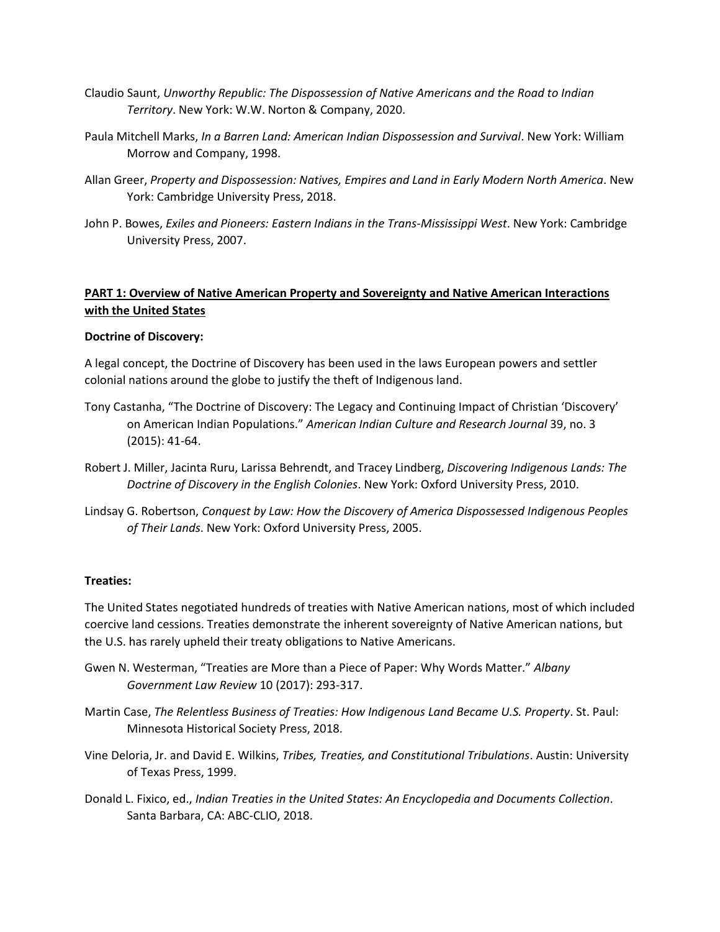- Claudio Saunt, *Unworthy Republic: The Dispossession of Native Americans and the Road to Indian Territory*. New York: W.W. Norton & Company, 2020.
- Paula Mitchell Marks, *In a Barren Land: American Indian Dispossession and Survival*. New York: William Morrow and Company, 1998.
- Allan Greer, *Property and Dispossession: Natives, Empires and Land in Early Modern North America*. New York: Cambridge University Press, 2018.
- John P. Bowes, *Exiles and Pioneers: Eastern Indians in the Trans-Mississippi West*. New York: Cambridge University Press, 2007.

# **PART 1: Overview of Native American Property and Sovereignty and Native American Interactions with the United States**

### **Doctrine of Discovery:**

A legal concept, the Doctrine of Discovery has been used in the laws European powers and settler colonial nations around the globe to justify the theft of Indigenous land.

- Tony Castanha, "The Doctrine of Discovery: The Legacy and Continuing Impact of Christian 'Discovery' on American Indian Populations." *American Indian Culture and Research Journal* 39, no. 3 (2015): 41-64.
- Robert J. Miller, Jacinta Ruru, Larissa Behrendt, and Tracey Lindberg, *Discovering Indigenous Lands: The Doctrine of Discovery in the English Colonies*. New York: Oxford University Press, 2010.
- Lindsay G. Robertson, *Conquest by Law: How the Discovery of America Dispossessed Indigenous Peoples of Their Lands*. New York: Oxford University Press, 2005.

#### **Treaties:**

The United States negotiated hundreds of treaties with Native American nations, most of which included coercive land cessions. Treaties demonstrate the inherent sovereignty of Native American nations, but the U.S. has rarely upheld their treaty obligations to Native Americans.

- Gwen N. Westerman, "Treaties are More than a Piece of Paper: Why Words Matter." *Albany Government Law Review* 10 (2017): 293-317.
- Martin Case, *The Relentless Business of Treaties: How Indigenous Land Became U.S. Property*. St. Paul: Minnesota Historical Society Press, 2018.
- Vine Deloria, Jr. and David E. Wilkins, *Tribes, Treaties, and Constitutional Tribulations*. Austin: University of Texas Press, 1999.
- Donald L. Fixico, ed., *Indian Treaties in the United States: An Encyclopedia and Documents Collection*. Santa Barbara, CA: ABC-CLIO, 2018.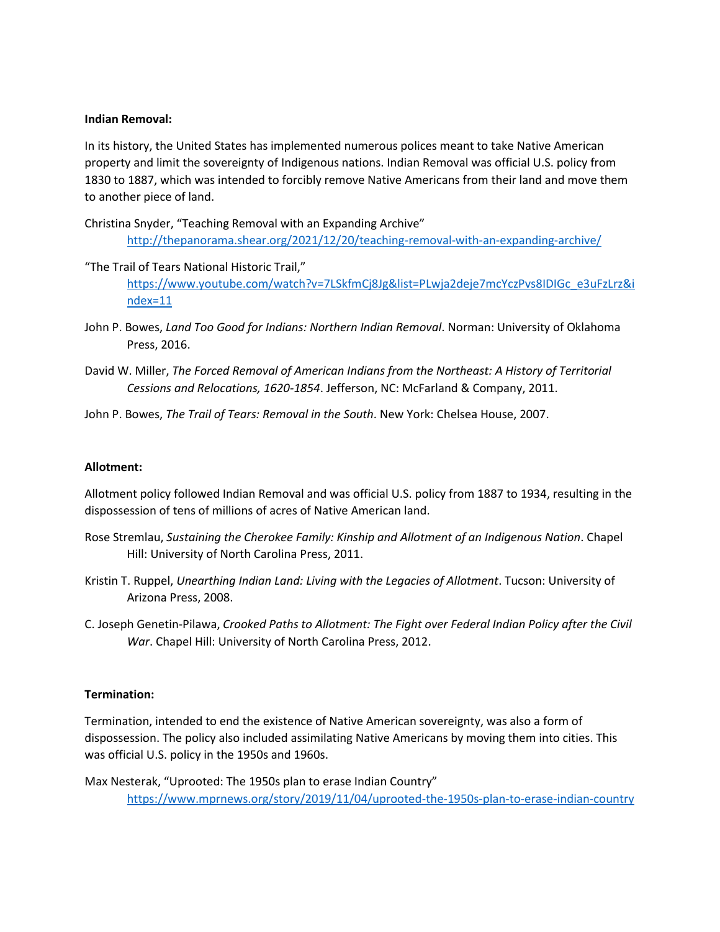### **Indian Removal:**

In its history, the United States has implemented numerous polices meant to take Native American property and limit the sovereignty of Indigenous nations. Indian Removal was official U.S. policy from 1830 to 1887, which was intended to forcibly remove Native Americans from their land and move them to another piece of land.

Christina Snyder, "Teaching Removal with an Expanding Archive"

<http://thepanorama.shear.org/2021/12/20/teaching-removal-with-an-expanding-archive/>

- "The Trail of Tears National Historic Trail," [https://www.youtube.com/watch?v=7LSkfmCj8Jg&list=PLwja2deje7mcYczPvs8IDIGc\\_e3uFzLrz&i](https://www.youtube.com/watch?v=7LSkfmCj8Jg&list=PLwja2deje7mcYczPvs8IDIGc_e3uFzLrz&index=11) [ndex=11](https://www.youtube.com/watch?v=7LSkfmCj8Jg&list=PLwja2deje7mcYczPvs8IDIGc_e3uFzLrz&index=11)
- John P. Bowes, *Land Too Good for Indians: Northern Indian Removal*. Norman: University of Oklahoma Press, 2016.
- David W. Miller, *The Forced Removal of American Indians from the Northeast: A History of Territorial Cessions and Relocations, 1620-1854*. Jefferson, NC: McFarland & Company, 2011.
- John P. Bowes, *The Trail of Tears: Removal in the South*. New York: Chelsea House, 2007.

# **Allotment:**

Allotment policy followed Indian Removal and was official U.S. policy from 1887 to 1934, resulting in the dispossession of tens of millions of acres of Native American land.

- Rose Stremlau, *Sustaining the Cherokee Family: Kinship and Allotment of an Indigenous Nation*. Chapel Hill: University of North Carolina Press, 2011.
- Kristin T. Ruppel, *Unearthing Indian Land: Living with the Legacies of Allotment*. Tucson: University of Arizona Press, 2008.
- C. Joseph Genetin-Pilawa, *Crooked Paths to Allotment: The Fight over Federal Indian Policy after the Civil War*. Chapel Hill: University of North Carolina Press, 2012.

# **Termination:**

Termination, intended to end the existence of Native American sovereignty, was also a form of dispossession. The policy also included assimilating Native Americans by moving them into cities. This was official U.S. policy in the 1950s and 1960s.

Max Nesterak, "Uprooted: The 1950s plan to erase Indian Country"

<https://www.mprnews.org/story/2019/11/04/uprooted-the-1950s-plan-to-erase-indian-country>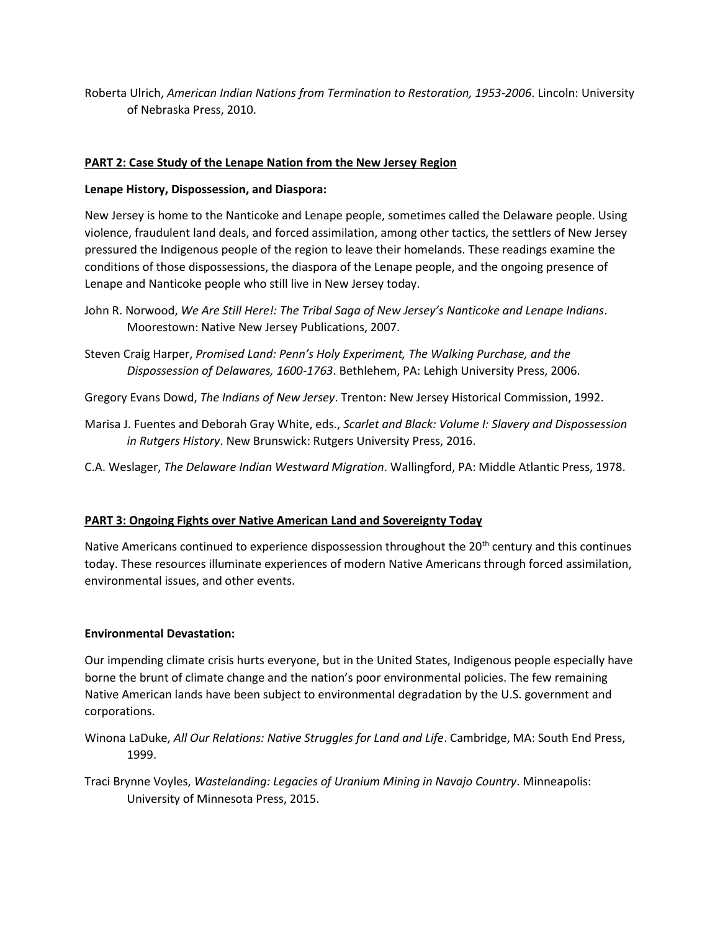Roberta Ulrich, *American Indian Nations from Termination to Restoration, 1953-2006*. Lincoln: University of Nebraska Press, 2010.

# **PART 2: Case Study of the Lenape Nation from the New Jersey Region**

# **Lenape History, Dispossession, and Diaspora:**

New Jersey is home to the Nanticoke and Lenape people, sometimes called the Delaware people. Using violence, fraudulent land deals, and forced assimilation, among other tactics, the settlers of New Jersey pressured the Indigenous people of the region to leave their homelands. These readings examine the conditions of those dispossessions, the diaspora of the Lenape people, and the ongoing presence of Lenape and Nanticoke people who still live in New Jersey today.

- John R. Norwood, *We Are Still Here!: The Tribal Saga of New Jersey's Nanticoke and Lenape Indians*. Moorestown: Native New Jersey Publications, 2007.
- Steven Craig Harper, *Promised Land: Penn's Holy Experiment, The Walking Purchase, and the Dispossession of Delawares, 1600-1763*. Bethlehem, PA: Lehigh University Press, 2006.
- Gregory Evans Dowd, *The Indians of New Jersey*. Trenton: New Jersey Historical Commission, 1992.
- Marisa J. Fuentes and Deborah Gray White, eds., *Scarlet and Black: Volume I: Slavery and Dispossession in Rutgers History*. New Brunswick: Rutgers University Press, 2016.
- C.A. Weslager, *The Delaware Indian Westward Migration*. Wallingford, PA: Middle Atlantic Press, 1978.

# **PART 3: Ongoing Fights over Native American Land and Sovereignty Today**

Native Americans continued to experience dispossession throughout the  $20<sup>th</sup>$  century and this continues today. These resources illuminate experiences of modern Native Americans through forced assimilation, environmental issues, and other events.

# **Environmental Devastation:**

Our impending climate crisis hurts everyone, but in the United States, Indigenous people especially have borne the brunt of climate change and the nation's poor environmental policies. The few remaining Native American lands have been subject to environmental degradation by the U.S. government and corporations.

Winona LaDuke, *All Our Relations: Native Struggles for Land and Life*. Cambridge, MA: South End Press, 1999.

Traci Brynne Voyles, *Wastelanding: Legacies of Uranium Mining in Navajo Country*. Minneapolis: University of Minnesota Press, 2015.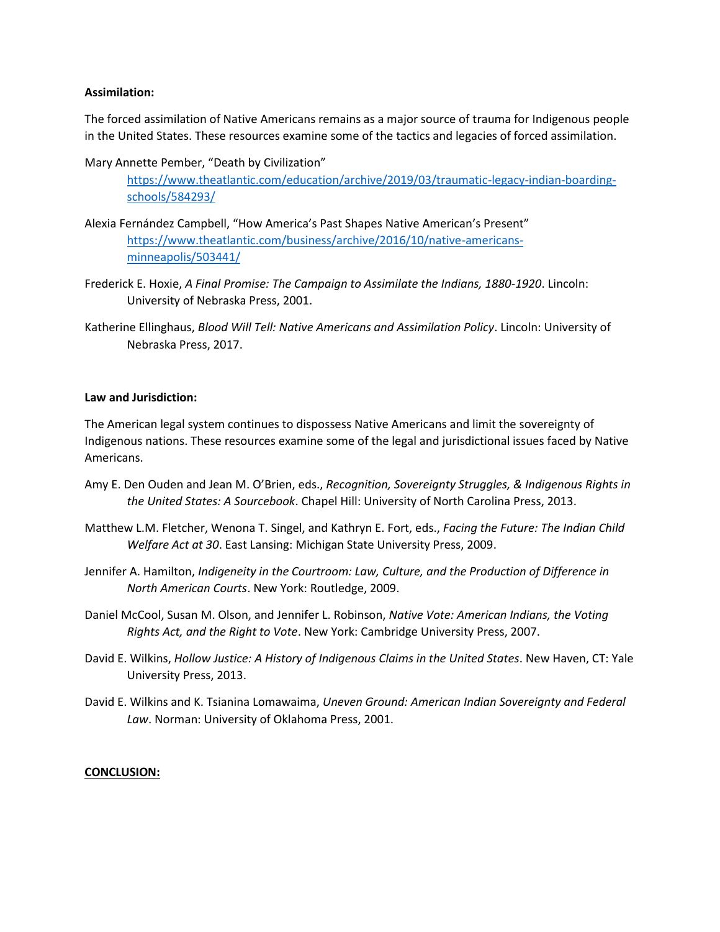### **Assimilation:**

The forced assimilation of Native Americans remains as a major source of trauma for Indigenous people in the United States. These resources examine some of the tactics and legacies of forced assimilation.

Mary Annette Pember, "Death by Civilization"

[https://www.theatlantic.com/education/archive/2019/03/traumatic-legacy-indian-boarding](https://www.theatlantic.com/education/archive/2019/03/traumatic-legacy-indian-boarding-schools/584293/)[schools/584293/](https://www.theatlantic.com/education/archive/2019/03/traumatic-legacy-indian-boarding-schools/584293/)

- Alexia Fernández Campbell, "How America's Past Shapes Native American's Present" [https://www.theatlantic.com/business/archive/2016/10/native-americans](https://www.theatlantic.com/business/archive/2016/10/native-americans-minneapolis/503441/)[minneapolis/503441/](https://www.theatlantic.com/business/archive/2016/10/native-americans-minneapolis/503441/)
- Frederick E. Hoxie, *A Final Promise: The Campaign to Assimilate the Indians, 1880-1920*. Lincoln: University of Nebraska Press, 2001.
- Katherine Ellinghaus, *Blood Will Tell: Native Americans and Assimilation Policy*. Lincoln: University of Nebraska Press, 2017.

### **Law and Jurisdiction:**

The American legal system continues to dispossess Native Americans and limit the sovereignty of Indigenous nations. These resources examine some of the legal and jurisdictional issues faced by Native Americans.

- Amy E. Den Ouden and Jean M. O'Brien, eds., *Recognition, Sovereignty Struggles, & Indigenous Rights in the United States: A Sourcebook*. Chapel Hill: University of North Carolina Press, 2013.
- Matthew L.M. Fletcher, Wenona T. Singel, and Kathryn E. Fort, eds., *Facing the Future: The Indian Child Welfare Act at 30*. East Lansing: Michigan State University Press, 2009.
- Jennifer A. Hamilton, *Indigeneity in the Courtroom: Law, Culture, and the Production of Difference in North American Courts*. New York: Routledge, 2009.
- Daniel McCool, Susan M. Olson, and Jennifer L. Robinson, *Native Vote: American Indians, the Voting Rights Act, and the Right to Vote*. New York: Cambridge University Press, 2007.
- David E. Wilkins, *Hollow Justice: A History of Indigenous Claims in the United States*. New Haven, CT: Yale University Press, 2013.
- David E. Wilkins and K. Tsianina Lomawaima, *Uneven Ground: American Indian Sovereignty and Federal Law*. Norman: University of Oklahoma Press, 2001.

#### **CONCLUSION:**